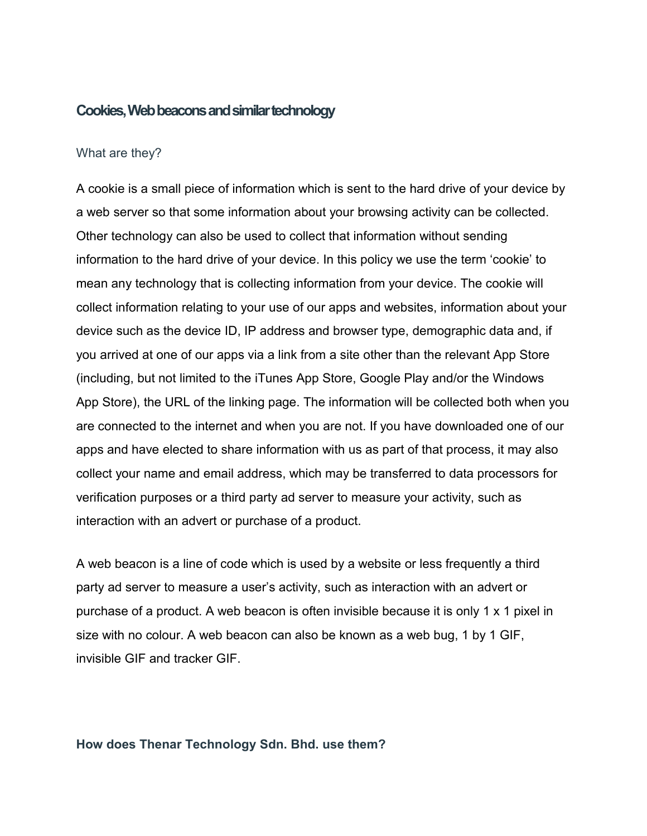## **Cookies, Web beacons and similar technology**

#### What are they?

A cookie is a small piece of information which is sent to the hard drive of your device by a web server so that some information about your browsing activity can be collected. Other technology can also be used to collect that information without sending information to the hard drive of your device. In this policy we use the term 'cookie' to mean any technology that is collecting information from your device. The cookie will collect information relating to your use of our apps and websites, information about your device such as the device ID, IP address and browser type, demographic data and, if you arrived at one of our apps via a link from a site other than the relevant App Store (including, but not limited to the iTunes App Store, Google Play and/or the Windows App Store), the URL of the linking page. The information will be collected both when you are connected to the internet and when you are not. If you have downloaded one of our apps and have elected to share information with us as part of that process, it may also collect your name and email address, which may be transferred to data processors for verification purposes or a third party ad server to measure your activity, such as interaction with an advert or purchase of a product.

A web beacon is a line of code which is used by a website or less frequently a third party ad server to measure a user's activity, such as interaction with an advert or purchase of a product. A web beacon is often invisible because it is only 1 x 1 pixel in size with no colour. A web beacon can also be known as a web bug, 1 by 1 GIF, invisible GIF and tracker GIF.

#### **How does Thenar Technology Sdn. Bhd. use them?**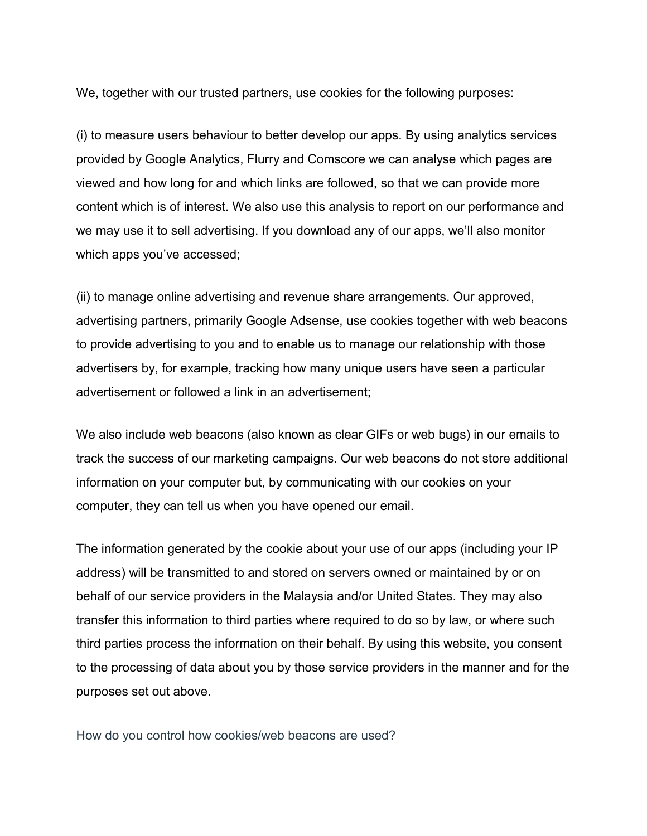We, together with our trusted partners, use cookies for the following purposes:

(i) to measure users behaviour to better develop our apps. By using analytics services provided by Google Analytics, Flurry and Comscore we can analyse which pages are viewed and how long for and which links are followed, so that we can provide more content which is of interest. We also use this analysis to report on our performance and we may use it to sell advertising. If you download any of our apps, we'll also monitor which apps you've accessed;

(ii) to manage online advertising and revenue share arrangements. Our approved, advertising partners, primarily Google Adsense, use cookies together with web beacons to provide advertising to you and to enable us to manage our relationship with those advertisers by, for example, tracking how many unique users have seen a particular advertisement or followed a link in an advertisement;

We also include web beacons (also known as clear GIFs or web bugs) in our emails to track the success of our marketing campaigns. Our web beacons do not store additional information on your computer but, by communicating with our cookies on your computer, they can tell us when you have opened our email.

The information generated by the cookie about your use of our apps (including your IP address) will be transmitted to and stored on servers owned or maintained by or on behalf of our service providers in the Malaysia and/or United States. They may also transfer this information to third parties where required to do so by law, or where such third parties process the information on their behalf. By using this website, you consent to the processing of data about you by those service providers in the manner and for the purposes set out above.

How do you control how cookies/web beacons are used?